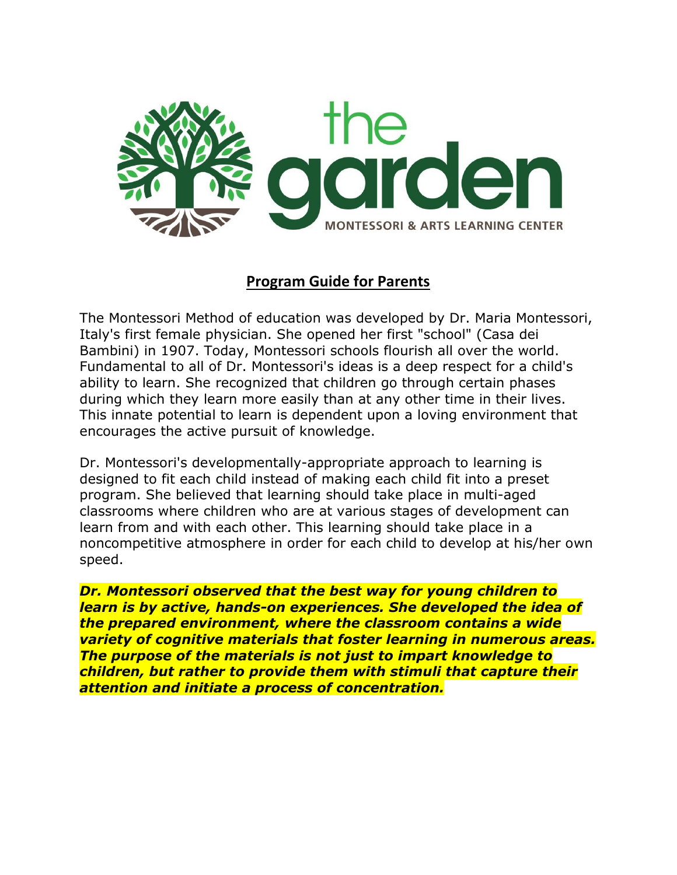

#### **Program Guide for Parents**

The Montessori Method of education was developed by Dr. Maria Montessori, Italy's first female physician. She opened her first "school" (Casa dei Bambini) in 1907. Today, Montessori schools flourish all over the world. Fundamental to all of Dr. Montessori's ideas is a deep respect for a child's ability to learn. She recognized that children go through certain phases during which they learn more easily than at any other time in their lives. This innate potential to learn is dependent upon a loving environment that encourages the active pursuit of knowledge.

Dr. Montessori's developmentally-appropriate approach to learning is designed to fit each child instead of making each child fit into a preset program. She believed that learning should take place in multi-aged classrooms where children who are at various stages of development can learn from and with each other. This learning should take place in a noncompetitive atmosphere in order for each child to develop at his/her own speed.

*Dr. Montessori observed that the best way for young children to learn is by active, hands-on experiences. She developed the idea of the prepared environment, where the classroom contains a wide variety of cognitive materials that foster learning in numerous areas. The purpose of the materials is not just to impart knowledge to children, but rather to provide them with stimuli that capture their attention and initiate a process of concentration.*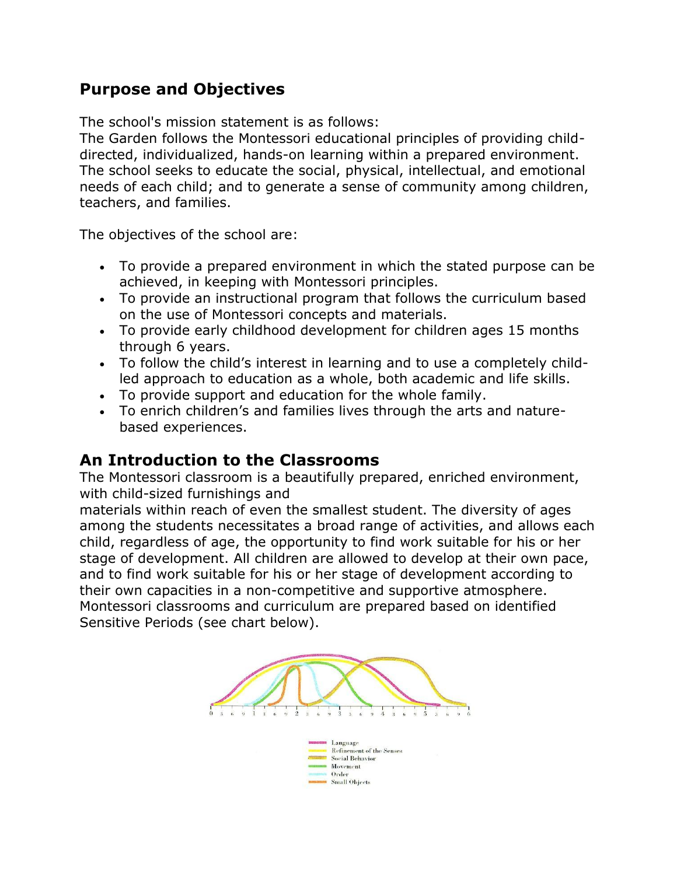## **Purpose and Objectives**

The school's mission statement is as follows:

The Garden follows the Montessori educational principles of providing childdirected, individualized, hands-on learning within a prepared environment. The school seeks to educate the social, physical, intellectual, and emotional needs of each child; and to generate a sense of community among children, teachers, and families.

The objectives of the school are:

- To provide a prepared environment in which the stated purpose can be achieved, in keeping with Montessori principles.
- To provide an instructional program that follows the curriculum based on the use of Montessori concepts and materials.
- To provide early childhood development for children ages 15 months through 6 years.
- To follow the child's interest in learning and to use a completely childled approach to education as a whole, both academic and life skills.
- To provide support and education for the whole family.
- To enrich children's and families lives through the arts and naturebased experiences.

#### **An Introduction to the Classrooms**

The Montessori classroom is a beautifully prepared, enriched environment, with child-sized furnishings and

materials within reach of even the smallest student. The diversity of ages among the students necessitates a broad range of activities, and allows each child, regardless of age, the opportunity to find work suitable for his or her stage of development. All children are allowed to develop at their own pace, and to find work suitable for his or her stage of development according to their own capacities in a non-competitive and supportive atmosphere. Montessori classrooms and curriculum are prepared based on identified Sensitive Periods (see chart below).



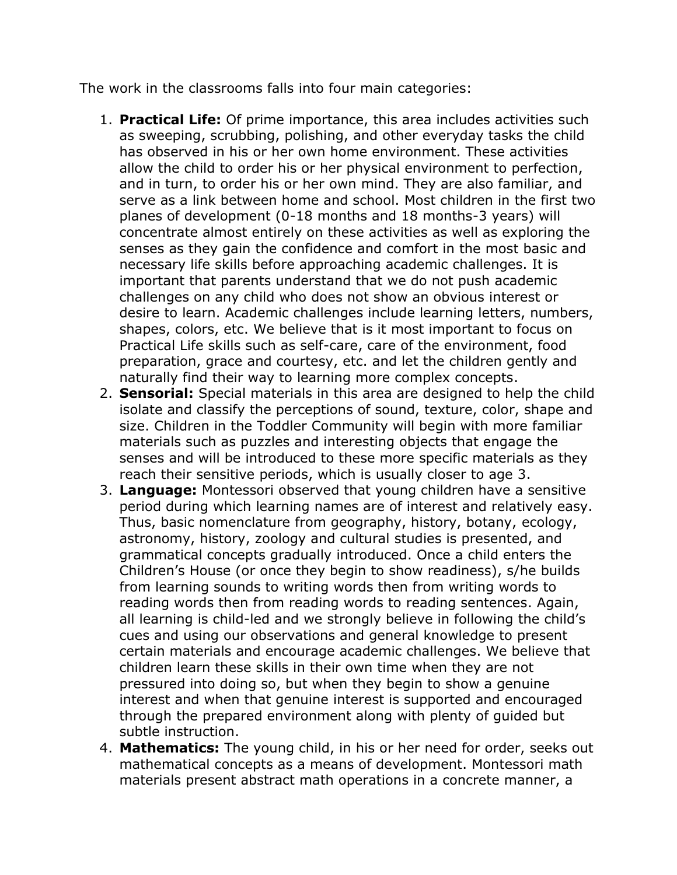The work in the classrooms falls into four main categories:

- 1. **Practical Life:** Of prime importance, this area includes activities such as sweeping, scrubbing, polishing, and other everyday tasks the child has observed in his or her own home environment. These activities allow the child to order his or her physical environment to perfection, and in turn, to order his or her own mind. They are also familiar, and serve as a link between home and school. Most children in the first two planes of development (0-18 months and 18 months-3 years) will concentrate almost entirely on these activities as well as exploring the senses as they gain the confidence and comfort in the most basic and necessary life skills before approaching academic challenges. It is important that parents understand that we do not push academic challenges on any child who does not show an obvious interest or desire to learn. Academic challenges include learning letters, numbers, shapes, colors, etc. We believe that is it most important to focus on Practical Life skills such as self-care, care of the environment, food preparation, grace and courtesy, etc. and let the children gently and naturally find their way to learning more complex concepts.
- 2. **Sensorial:** Special materials in this area are designed to help the child isolate and classify the perceptions of sound, texture, color, shape and size. Children in the Toddler Community will begin with more familiar materials such as puzzles and interesting objects that engage the senses and will be introduced to these more specific materials as they reach their sensitive periods, which is usually closer to age 3.
- 3. **Language:** Montessori observed that young children have a sensitive period during which learning names are of interest and relatively easy. Thus, basic nomenclature from geography, history, botany, ecology, astronomy, history, zoology and cultural studies is presented, and grammatical concepts gradually introduced. Once a child enters the Children's House (or once they begin to show readiness), s/he builds from learning sounds to writing words then from writing words to reading words then from reading words to reading sentences. Again, all learning is child-led and we strongly believe in following the child's cues and using our observations and general knowledge to present certain materials and encourage academic challenges. We believe that children learn these skills in their own time when they are not pressured into doing so, but when they begin to show a genuine interest and when that genuine interest is supported and encouraged through the prepared environment along with plenty of guided but subtle instruction.
- 4. **Mathematics:** The young child, in his or her need for order, seeks out mathematical concepts as a means of development. Montessori math materials present abstract math operations in a concrete manner, a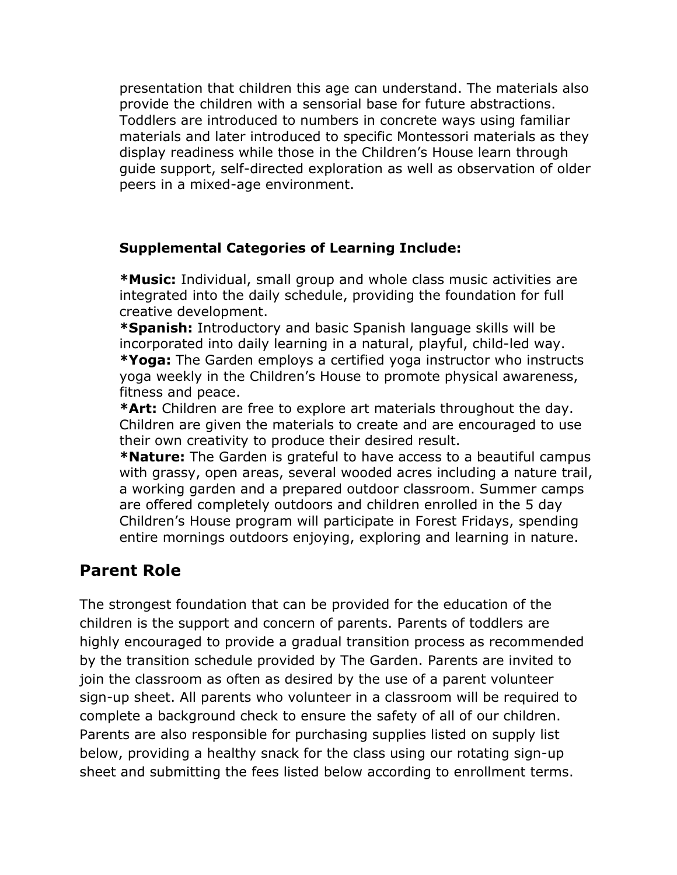presentation that children this age can understand. The materials also provide the children with a sensorial base for future abstractions. Toddlers are introduced to numbers in concrete ways using familiar materials and later introduced to specific Montessori materials as they display readiness while those in the Children's House learn through guide support, self-directed exploration as well as observation of older peers in a mixed-age environment.

#### **Supplemental Categories of Learning Include:**

**\*Music:** Individual, small group and whole class music activities are integrated into the daily schedule, providing the foundation for full creative development.

**\*Spanish:** Introductory and basic Spanish language skills will be incorporated into daily learning in a natural, playful, child-led way. **\*Yoga:** The Garden employs a certified yoga instructor who instructs yoga weekly in the Children's House to promote physical awareness, fitness and peace.

**\*Art:** Children are free to explore art materials throughout the day. Children are given the materials to create and are encouraged to use their own creativity to produce their desired result.

**\*Nature:** The Garden is grateful to have access to a beautiful campus with grassy, open areas, several wooded acres including a nature trail, a working garden and a prepared outdoor classroom. Summer camps are offered completely outdoors and children enrolled in the 5 day Children's House program will participate in Forest Fridays, spending entire mornings outdoors enjoying, exploring and learning in nature.

## **Parent Role**

The strongest foundation that can be provided for the education of the children is the support and concern of parents. Parents of toddlers are highly encouraged to provide a gradual transition process as recommended by the transition schedule provided by The Garden. Parents are invited to join the classroom as often as desired by the use of a parent volunteer sign-up sheet. All parents who volunteer in a classroom will be required to complete a background check to ensure the safety of all of our children. Parents are also responsible for purchasing supplies listed on supply list below, providing a healthy snack for the class using our rotating sign-up sheet and submitting the fees listed below according to enrollment terms.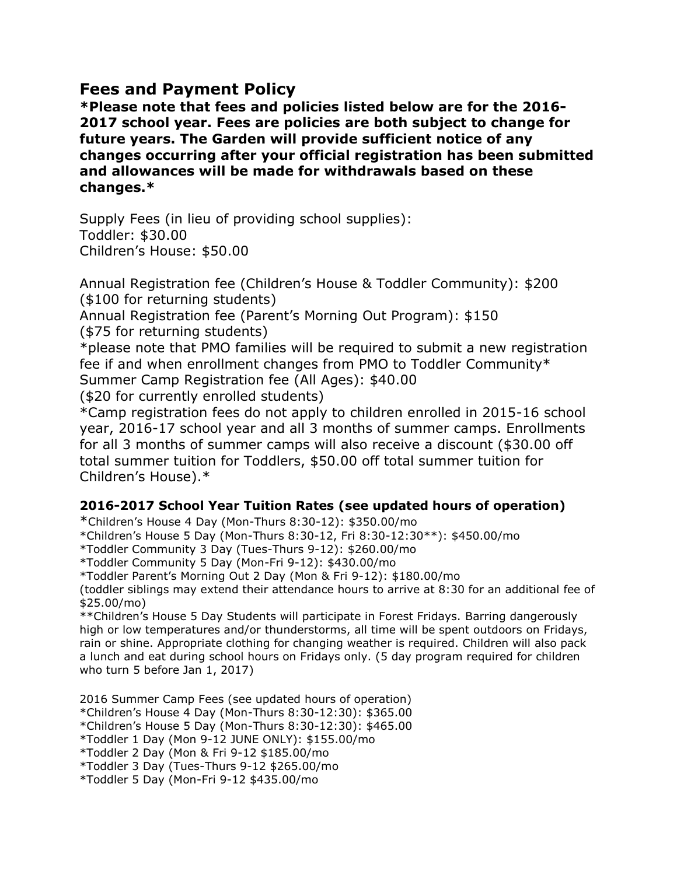#### **Fees and Payment Policy**

**\*Please note that fees and policies listed below are for the 2016- 2017 school year. Fees are policies are both subject to change for future years. The Garden will provide sufficient notice of any changes occurring after your official registration has been submitted and allowances will be made for withdrawals based on these changes.\***

Supply Fees (in lieu of providing school supplies): Toddler: \$30.00 Children's House: \$50.00

Annual Registration fee (Children's House & Toddler Community): \$200 (\$100 for returning students)

Annual Registration fee (Parent's Morning Out Program): \$150

(\$75 for returning students)

\*please note that PMO families will be required to submit a new registration fee if and when enrollment changes from PMO to Toddler Community\* Summer Camp Registration fee (All Ages): \$40.00

(\$20 for currently enrolled students)

\*Camp registration fees do not apply to children enrolled in 2015-16 school year, 2016-17 school year and all 3 months of summer camps. Enrollments for all 3 months of summer camps will also receive a discount (\$30.00 off total summer tuition for Toddlers, \$50.00 off total summer tuition for Children's House).\*

#### **2016-2017 School Year Tuition Rates (see updated hours of operation)**

\*Children's House 4 Day (Mon-Thurs 8:30-12): \$350.00/mo

\*Children's House 5 Day (Mon-Thurs 8:30-12, Fri 8:30-12:30\*\*): \$450.00/mo

\*Toddler Community 3 Day (Tues-Thurs 9-12): \$260.00/mo

\*Toddler Community 5 Day (Mon-Fri 9-12): \$430.00/mo

\*Toddler Parent's Morning Out 2 Day (Mon & Fri 9-12): \$180.00/mo

(toddler siblings may extend their attendance hours to arrive at 8:30 for an additional fee of \$25.00/mo)

\*\*Children's House 5 Day Students will participate in Forest Fridays. Barring dangerously high or low temperatures and/or thunderstorms, all time will be spent outdoors on Fridays, rain or shine. Appropriate clothing for changing weather is required. Children will also pack a lunch and eat during school hours on Fridays only. (5 day program required for children who turn 5 before Jan 1, 2017)

2016 Summer Camp Fees (see updated hours of operation) \*Children's House 4 Day (Mon-Thurs 8:30-12:30): \$365.00 \*Children's House 5 Day (Mon-Thurs 8:30-12:30): \$465.00 \*Toddler 1 Day (Mon 9-12 JUNE ONLY): \$155.00/mo \*Toddler 2 Day (Mon & Fri 9-12 \$185.00/mo \*Toddler 3 Day (Tues-Thurs 9-12 \$265.00/mo \*Toddler 5 Day (Mon-Fri 9-12 \$435.00/mo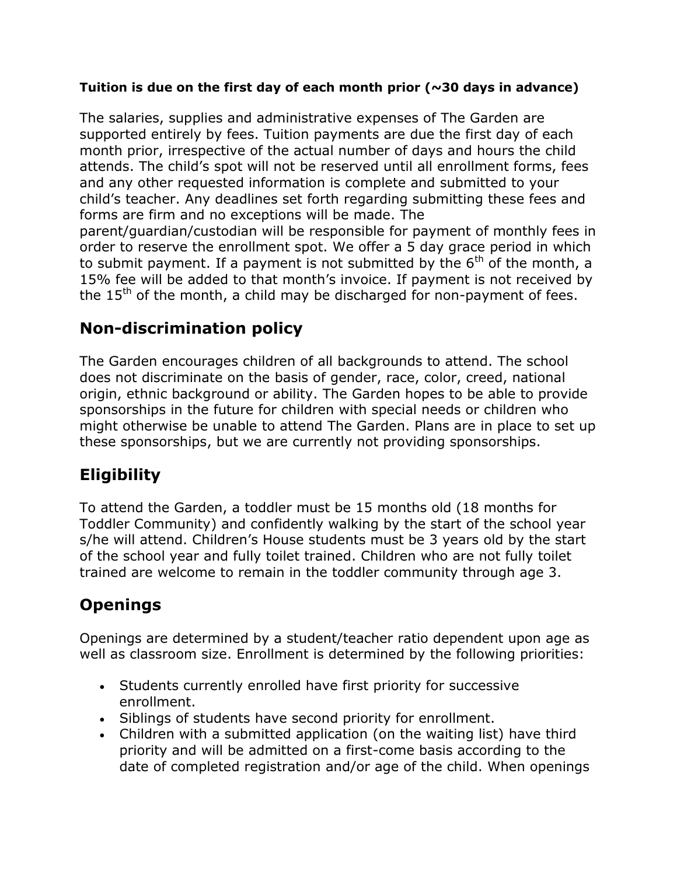#### **Tuition is due on the first day of each month prior (~30 days in advance)**

The salaries, supplies and administrative expenses of The Garden are supported entirely by fees. Tuition payments are due the first day of each month prior, irrespective of the actual number of days and hours the child attends. The child's spot will not be reserved until all enrollment forms, fees and any other requested information is complete and submitted to your child's teacher. Any deadlines set forth regarding submitting these fees and forms are firm and no exceptions will be made. The parent/guardian/custodian will be responsible for payment of monthly fees in

order to reserve the enrollment spot. We offer a 5 day grace period in which to submit payment. If a payment is not submitted by the  $6<sup>th</sup>$  of the month, a 15% fee will be added to that month's invoice. If payment is not received by the  $15<sup>th</sup>$  of the month, a child may be discharged for non-payment of fees.

## **Non-discrimination policy**

The Garden encourages children of all backgrounds to attend. The school does not discriminate on the basis of gender, race, color, creed, national origin, ethnic background or ability. The Garden hopes to be able to provide sponsorships in the future for children with special needs or children who might otherwise be unable to attend The Garden. Plans are in place to set up these sponsorships, but we are currently not providing sponsorships.

# **Eligibility**

To attend the Garden, a toddler must be 15 months old (18 months for Toddler Community) and confidently walking by the start of the school year s/he will attend. Children's House students must be 3 years old by the start of the school year and fully toilet trained. Children who are not fully toilet trained are welcome to remain in the toddler community through age 3.

# **Openings**

Openings are determined by a student/teacher ratio dependent upon age as well as classroom size. Enrollment is determined by the following priorities:

- Students currently enrolled have first priority for successive enrollment.
- Siblings of students have second priority for enrollment.
- Children with a submitted application (on the waiting list) have third priority and will be admitted on a first-come basis according to the date of completed registration and/or age of the child. When openings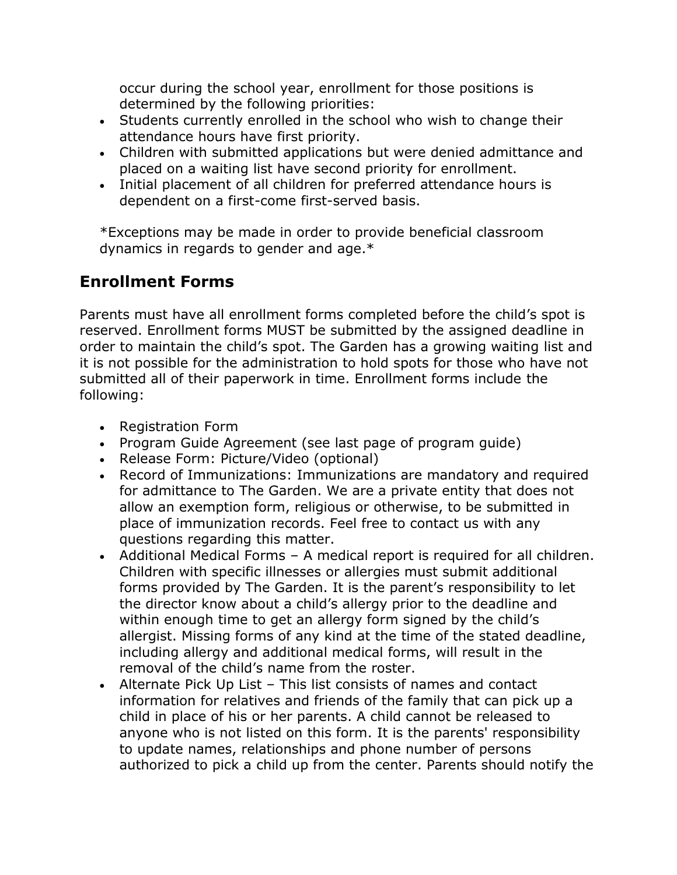occur during the school year, enrollment for those positions is determined by the following priorities:

- Students currently enrolled in the school who wish to change their attendance hours have first priority.
- Children with submitted applications but were denied admittance and placed on a waiting list have second priority for enrollment.
- Initial placement of all children for preferred attendance hours is dependent on a first-come first-served basis.

\*Exceptions may be made in order to provide beneficial classroom dynamics in regards to gender and age.\*

## **Enrollment Forms**

Parents must have all enrollment forms completed before the child's spot is reserved. Enrollment forms MUST be submitted by the assigned deadline in order to maintain the child's spot. The Garden has a growing waiting list and it is not possible for the administration to hold spots for those who have not submitted all of their paperwork in time. Enrollment forms include the following:

- Registration Form
- Program Guide Agreement (see last page of program guide)
- Release Form: Picture/Video (optional)
- Record of Immunizations: Immunizations are mandatory and required for admittance to The Garden. We are a private entity that does not allow an exemption form, religious or otherwise, to be submitted in place of immunization records. Feel free to contact us with any questions regarding this matter.
- Additional Medical Forms A medical report is required for all children. Children with specific illnesses or allergies must submit additional forms provided by The Garden. It is the parent's responsibility to let the director know about a child's allergy prior to the deadline and within enough time to get an allergy form signed by the child's allergist. Missing forms of any kind at the time of the stated deadline, including allergy and additional medical forms, will result in the removal of the child's name from the roster.
- Alternate Pick Up List This list consists of names and contact information for relatives and friends of the family that can pick up a child in place of his or her parents. A child cannot be released to anyone who is not listed on this form. It is the parents' responsibility to update names, relationships and phone number of persons authorized to pick a child up from the center. Parents should notify the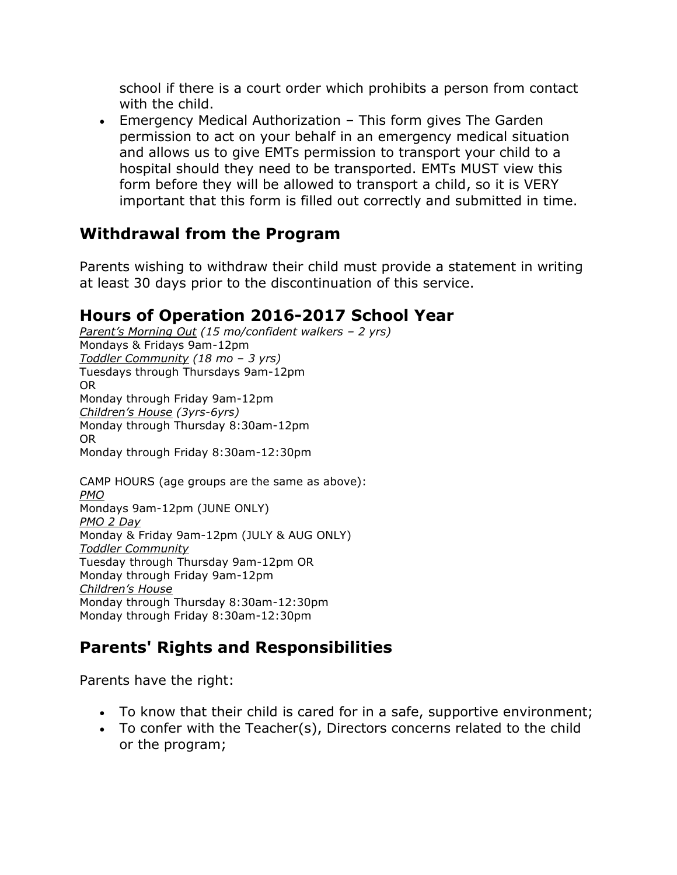school if there is a court order which prohibits a person from contact with the child.

 Emergency Medical Authorization – This form gives The Garden permission to act on your behalf in an emergency medical situation and allows us to give EMTs permission to transport your child to a hospital should they need to be transported. EMTs MUST view this form before they will be allowed to transport a child, so it is VERY important that this form is filled out correctly and submitted in time.

## **Withdrawal from the Program**

Parents wishing to withdraw their child must provide a statement in writing at least 30 days prior to the discontinuation of this service.

## **Hours of Operation 2016-2017 School Year**

*Parent's Morning Out (15 mo/confident walkers – 2 yrs)* Mondays & Fridays 9am-12pm *Toddler Community (18 mo – 3 yrs)* Tuesdays through Thursdays 9am-12pm OR Monday through Friday 9am-12pm *Children's House (3yrs-6yrs)* Monday through Thursday 8:30am-12pm OR Monday through Friday 8:30am-12:30pm CAMP HOURS (age groups are the same as above): *PMO* Mondays 9am-12pm (JUNE ONLY) *PMO 2 Day* Monday & Friday 9am-12pm (JULY & AUG ONLY) *Toddler Community* Tuesday through Thursday 9am-12pm OR Monday through Friday 9am-12pm *Children's House* Monday through Thursday 8:30am-12:30pm Monday through Friday 8:30am-12:30pm

## **Parents' Rights and Responsibilities**

Parents have the right:

- To know that their child is cared for in a safe, supportive environment;
- To confer with the Teacher(s), Directors concerns related to the child or the program;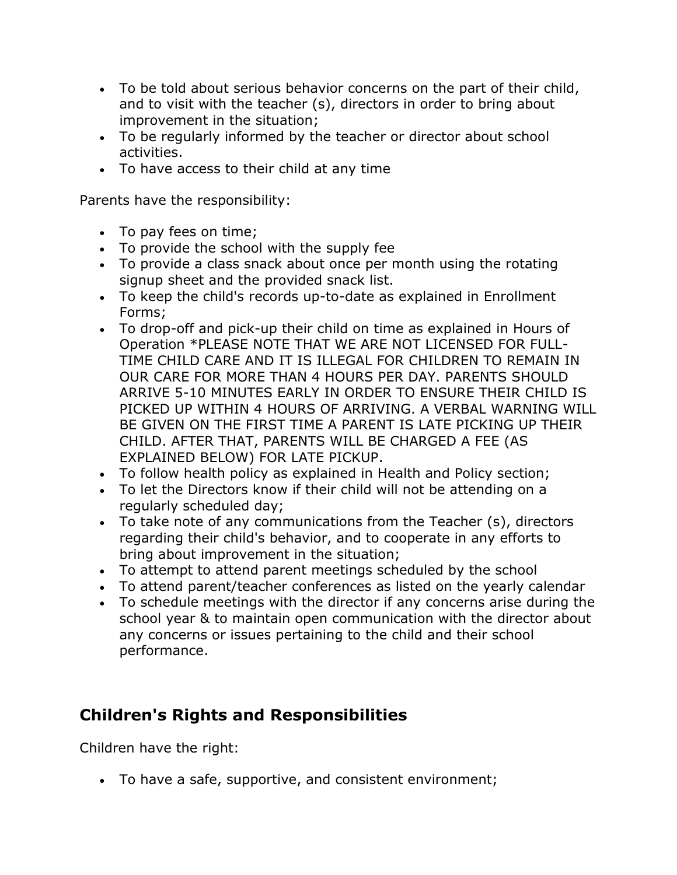- To be told about serious behavior concerns on the part of their child, and to visit with the teacher (s), directors in order to bring about improvement in the situation;
- To be regularly informed by the teacher or director about school activities.
- To have access to their child at any time

Parents have the responsibility:

- To pay fees on time;
- To provide the school with the supply fee
- To provide a class snack about once per month using the rotating signup sheet and the provided snack list.
- To keep the child's records up-to-date as explained in Enrollment Forms;
- To drop-off and pick-up their child on time as explained in Hours of Operation \*PLEASE NOTE THAT WE ARE NOT LICENSED FOR FULL-TIME CHILD CARE AND IT IS ILLEGAL FOR CHILDREN TO REMAIN IN OUR CARE FOR MORE THAN 4 HOURS PER DAY. PARENTS SHOULD ARRIVE 5-10 MINUTES EARLY IN ORDER TO ENSURE THEIR CHILD IS PICKED UP WITHIN 4 HOURS OF ARRIVING. A VERBAL WARNING WILL BE GIVEN ON THE FIRST TIME A PARENT IS LATE PICKING UP THEIR CHILD. AFTER THAT, PARENTS WILL BE CHARGED A FEE (AS EXPLAINED BELOW) FOR LATE PICKUP.
- To follow health policy as explained in Health and Policy section;
- To let the Directors know if their child will not be attending on a regularly scheduled day;
- To take note of any communications from the Teacher (s), directors regarding their child's behavior, and to cooperate in any efforts to bring about improvement in the situation;
- To attempt to attend parent meetings scheduled by the school
- To attend parent/teacher conferences as listed on the yearly calendar
- To schedule meetings with the director if any concerns arise during the school year & to maintain open communication with the director about any concerns or issues pertaining to the child and their school performance.

## **Children's Rights and Responsibilities**

Children have the right:

To have a safe, supportive, and consistent environment;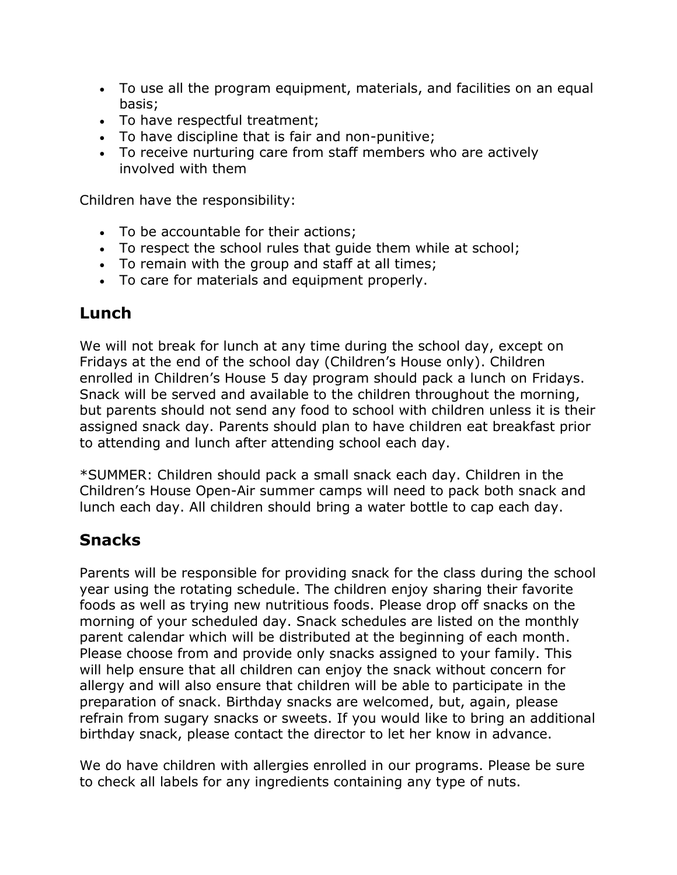- To use all the program equipment, materials, and facilities on an equal basis;
- To have respectful treatment;
- To have discipline that is fair and non-punitive;
- To receive nurturing care from staff members who are actively involved with them

Children have the responsibility:

- To be accountable for their actions;
- To respect the school rules that guide them while at school;
- To remain with the group and staff at all times;
- To care for materials and equipment properly.

## **Lunch**

We will not break for lunch at any time during the school day, except on Fridays at the end of the school day (Children's House only). Children enrolled in Children's House 5 day program should pack a lunch on Fridays. Snack will be served and available to the children throughout the morning, but parents should not send any food to school with children unless it is their assigned snack day. Parents should plan to have children eat breakfast prior to attending and lunch after attending school each day.

\*SUMMER: Children should pack a small snack each day. Children in the Children's House Open-Air summer camps will need to pack both snack and lunch each day. All children should bring a water bottle to cap each day.

## **Snacks**

Parents will be responsible for providing snack for the class during the school year using the rotating schedule. The children enjoy sharing their favorite foods as well as trying new nutritious foods. Please drop off snacks on the morning of your scheduled day. Snack schedules are listed on the monthly parent calendar which will be distributed at the beginning of each month. Please choose from and provide only snacks assigned to your family. This will help ensure that all children can enjoy the snack without concern for allergy and will also ensure that children will be able to participate in the preparation of snack. Birthday snacks are welcomed, but, again, please refrain from sugary snacks or sweets. If you would like to bring an additional birthday snack, please contact the director to let her know in advance.

We do have children with allergies enrolled in our programs. Please be sure to check all labels for any ingredients containing any type of nuts.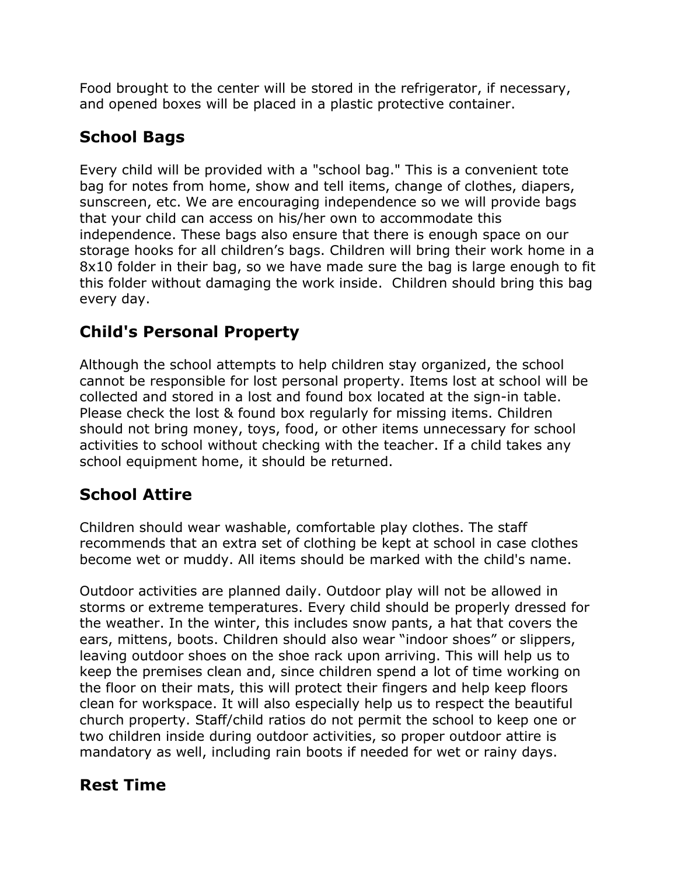Food brought to the center will be stored in the refrigerator, if necessary, and opened boxes will be placed in a plastic protective container.

# **School Bags**

Every child will be provided with a "school bag." This is a convenient tote bag for notes from home, show and tell items, change of clothes, diapers, sunscreen, etc. We are encouraging independence so we will provide bags that your child can access on his/her own to accommodate this independence. These bags also ensure that there is enough space on our storage hooks for all children's bags. Children will bring their work home in a 8x10 folder in their bag, so we have made sure the bag is large enough to fit this folder without damaging the work inside. Children should bring this bag every day.

# **Child's Personal Property**

Although the school attempts to help children stay organized, the school cannot be responsible for lost personal property. Items lost at school will be collected and stored in a lost and found box located at the sign-in table. Please check the lost & found box regularly for missing items. Children should not bring money, toys, food, or other items unnecessary for school activities to school without checking with the teacher. If a child takes any school equipment home, it should be returned.

# **School Attire**

Children should wear washable, comfortable play clothes. The staff recommends that an extra set of clothing be kept at school in case clothes become wet or muddy. All items should be marked with the child's name.

Outdoor activities are planned daily. Outdoor play will not be allowed in storms or extreme temperatures. Every child should be properly dressed for the weather. In the winter, this includes snow pants, a hat that covers the ears, mittens, boots. Children should also wear "indoor shoes" or slippers, leaving outdoor shoes on the shoe rack upon arriving. This will help us to keep the premises clean and, since children spend a lot of time working on the floor on their mats, this will protect their fingers and help keep floors clean for workspace. It will also especially help us to respect the beautiful church property. Staff/child ratios do not permit the school to keep one or two children inside during outdoor activities, so proper outdoor attire is mandatory as well, including rain boots if needed for wet or rainy days.

# **Rest Time**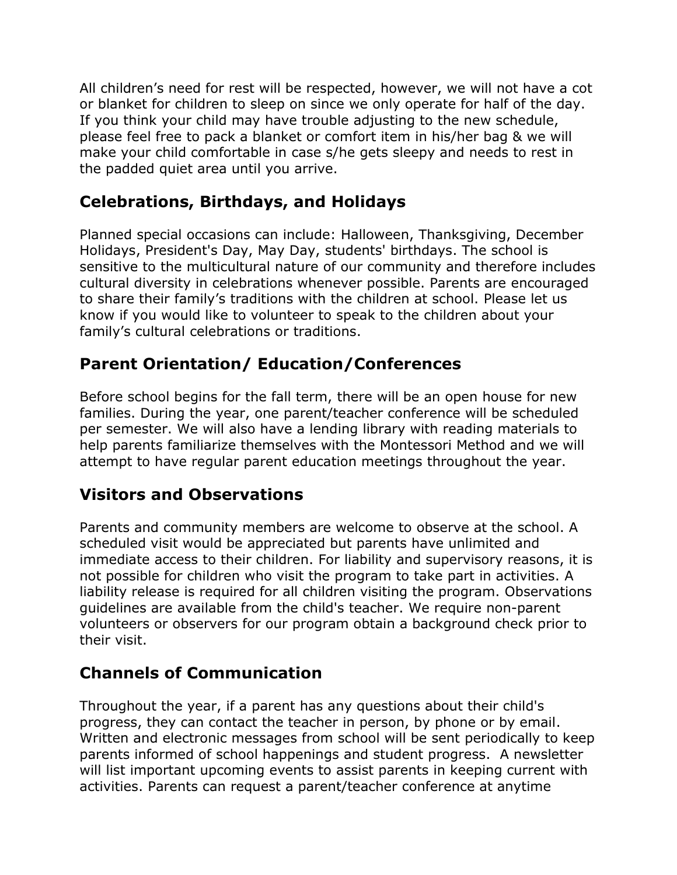All children's need for rest will be respected, however, we will not have a cot or blanket for children to sleep on since we only operate for half of the day. If you think your child may have trouble adjusting to the new schedule, please feel free to pack a blanket or comfort item in his/her bag & we will make your child comfortable in case s/he gets sleepy and needs to rest in the padded quiet area until you arrive.

## **Celebrations, Birthdays, and Holidays**

Planned special occasions can include: Halloween, Thanksgiving, December Holidays, President's Day, May Day, students' birthdays. The school is sensitive to the multicultural nature of our community and therefore includes cultural diversity in celebrations whenever possible. Parents are encouraged to share their family's traditions with the children at school. Please let us know if you would like to volunteer to speak to the children about your family's cultural celebrations or traditions.

## **Parent Orientation/ Education/Conferences**

Before school begins for the fall term, there will be an open house for new families. During the year, one parent/teacher conference will be scheduled per semester. We will also have a lending library with reading materials to help parents familiarize themselves with the Montessori Method and we will attempt to have regular parent education meetings throughout the year.

## **Visitors and Observations**

Parents and community members are welcome to observe at the school. A scheduled visit would be appreciated but parents have unlimited and immediate access to their children. For liability and supervisory reasons, it is not possible for children who visit the program to take part in activities. A liability release is required for all children visiting the program. Observations guidelines are available from the child's teacher. We require non-parent volunteers or observers for our program obtain a background check prior to their visit.

## **Channels of Communication**

Throughout the year, if a parent has any questions about their child's progress, they can contact the teacher in person, by phone or by email. Written and electronic messages from school will be sent periodically to keep parents informed of school happenings and student progress. A newsletter will list important upcoming events to assist parents in keeping current with activities. Parents can request a parent/teacher conference at anytime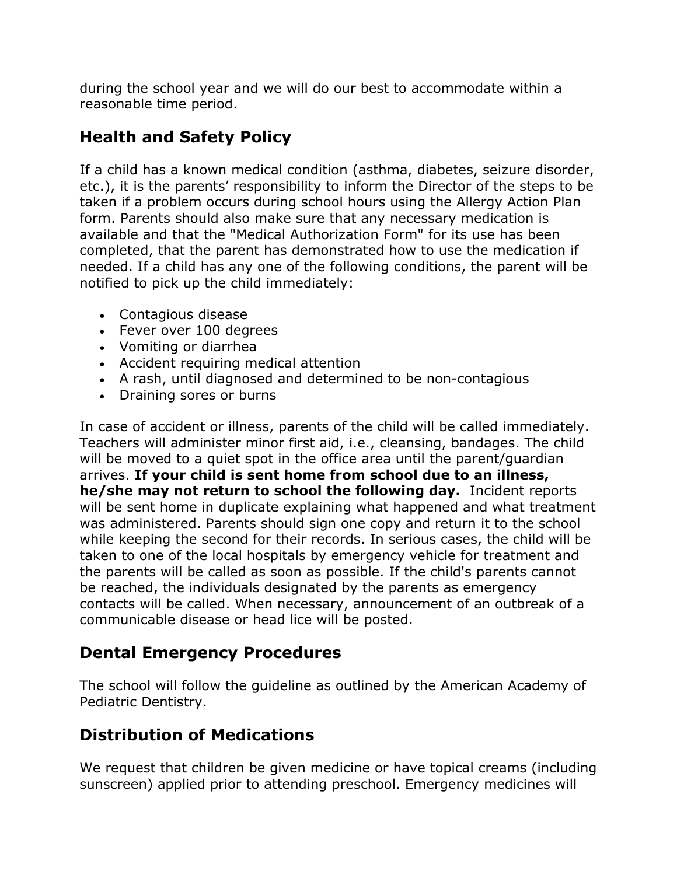during the school year and we will do our best to accommodate within a reasonable time period.

## **Health and Safety Policy**

If a child has a known medical condition (asthma, diabetes, seizure disorder, etc.), it is the parents' responsibility to inform the Director of the steps to be taken if a problem occurs during school hours using the Allergy Action Plan form. Parents should also make sure that any necessary medication is available and that the "Medical Authorization Form" for its use has been completed, that the parent has demonstrated how to use the medication if needed. If a child has any one of the following conditions, the parent will be notified to pick up the child immediately:

- Contagious disease
- Fever over 100 degrees
- Vomiting or diarrhea
- Accident requiring medical attention
- A rash, until diagnosed and determined to be non-contagious
- Draining sores or burns

In case of accident or illness, parents of the child will be called immediately. Teachers will administer minor first aid, i.e., cleansing, bandages. The child will be moved to a quiet spot in the office area until the parent/guardian arrives. **If your child is sent home from school due to an illness, he/she may not return to school the following day.** Incident reports will be sent home in duplicate explaining what happened and what treatment was administered. Parents should sign one copy and return it to the school while keeping the second for their records. In serious cases, the child will be taken to one of the local hospitals by emergency vehicle for treatment and the parents will be called as soon as possible. If the child's parents cannot be reached, the individuals designated by the parents as emergency contacts will be called. When necessary, announcement of an outbreak of a communicable disease or head lice will be posted.

#### **Dental Emergency Procedures**

The school will follow the guideline as outlined by the American Academy of Pediatric Dentistry.

## **Distribution of Medications**

We request that children be given medicine or have topical creams (including sunscreen) applied prior to attending preschool. Emergency medicines will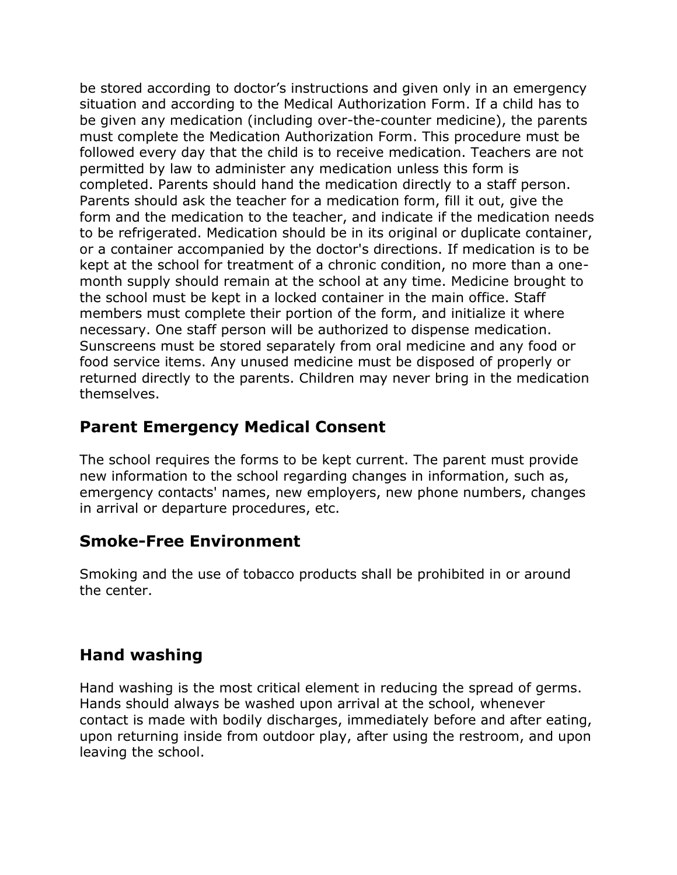be stored according to doctor's instructions and given only in an emergency situation and according to the Medical Authorization Form. If a child has to be given any medication (including over-the-counter medicine), the parents must complete the Medication Authorization Form. This procedure must be followed every day that the child is to receive medication. Teachers are not permitted by law to administer any medication unless this form is completed. Parents should hand the medication directly to a staff person. Parents should ask the teacher for a medication form, fill it out, give the form and the medication to the teacher, and indicate if the medication needs to be refrigerated. Medication should be in its original or duplicate container, or a container accompanied by the doctor's directions. If medication is to be kept at the school for treatment of a chronic condition, no more than a onemonth supply should remain at the school at any time. Medicine brought to the school must be kept in a locked container in the main office. Staff members must complete their portion of the form, and initialize it where necessary. One staff person will be authorized to dispense medication. Sunscreens must be stored separately from oral medicine and any food or food service items. Any unused medicine must be disposed of properly or returned directly to the parents. Children may never bring in the medication themselves.

#### **Parent Emergency Medical Consent**

The school requires the forms to be kept current. The parent must provide new information to the school regarding changes in information, such as, emergency contacts' names, new employers, new phone numbers, changes in arrival or departure procedures, etc.

#### **Smoke-Free Environment**

Smoking and the use of tobacco products shall be prohibited in or around the center.

## **Hand washing**

Hand washing is the most critical element in reducing the spread of germs. Hands should always be washed upon arrival at the school, whenever contact is made with bodily discharges, immediately before and after eating, upon returning inside from outdoor play, after using the restroom, and upon leaving the school.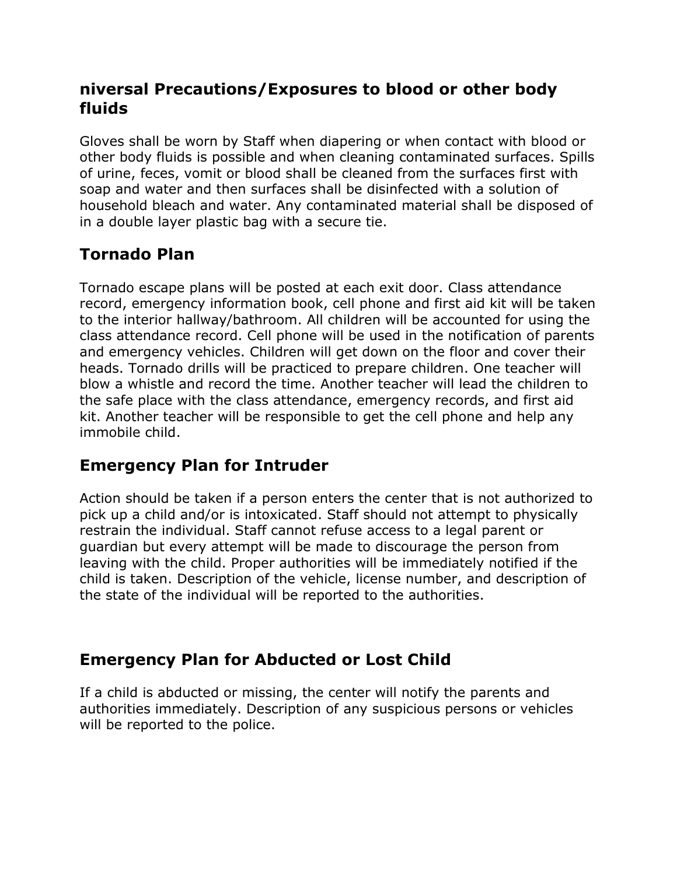## **niversal Precautions/Exposures to blood or other body fluids**

Gloves shall be worn by Staff when diapering or when contact with blood or other body fluids is possible and when cleaning contaminated surfaces. Spills of urine, feces, vomit or blood shall be cleaned from the surfaces first with soap and water and then surfaces shall be disinfected with a solution of household bleach and water. Any contaminated material shall be disposed of in a double layer plastic bag with a secure tie.

# **Tornado Plan**

Tornado escape plans will be posted at each exit door. Class attendance record, emergency information book, cell phone and first aid kit will be taken to the interior hallway/bathroom. All children will be accounted for using the class attendance record. Cell phone will be used in the notification of parents and emergency vehicles. Children will get down on the floor and cover their heads. Tornado drills will be practiced to prepare children. One teacher will blow a whistle and record the time. Another teacher will lead the children to the safe place with the class attendance, emergency records, and first aid kit. Another teacher will be responsible to get the cell phone and help any immobile child.

## **Emergency Plan for Intruder**

Action should be taken if a person enters the center that is not authorized to pick up a child and/or is intoxicated. Staff should not attempt to physically restrain the individual. Staff cannot refuse access to a legal parent or guardian but every attempt will be made to discourage the person from leaving with the child. Proper authorities will be immediately notified if the child is taken. Description of the vehicle, license number, and description of the state of the individual will be reported to the authorities.

## **Emergency Plan for Abducted or Lost Child**

If a child is abducted or missing, the center will notify the parents and authorities immediately. Description of any suspicious persons or vehicles will be reported to the police.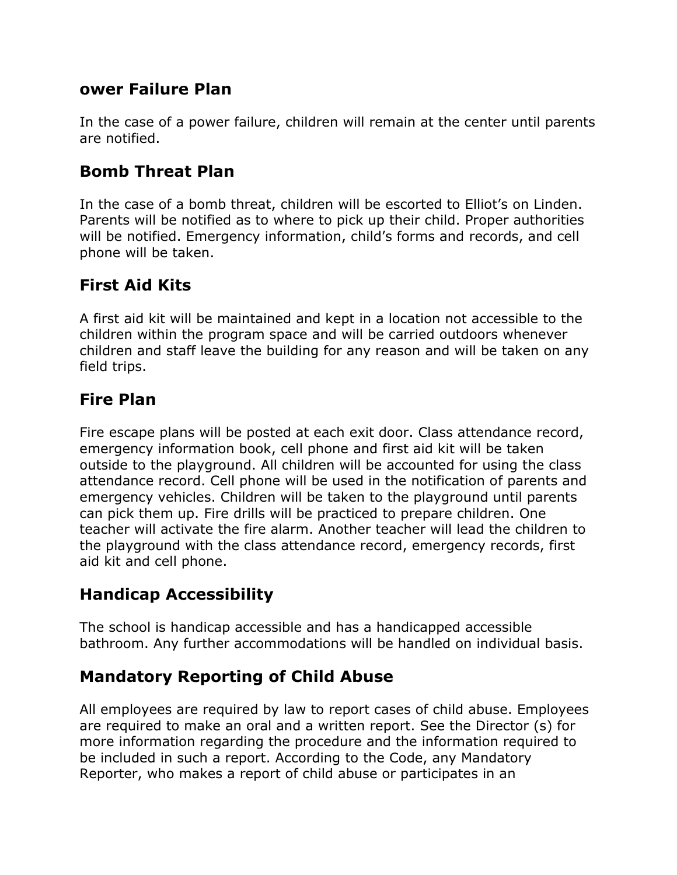## **ower Failure Plan**

In the case of a power failure, children will remain at the center until parents are notified.

## **Bomb Threat Plan**

In the case of a bomb threat, children will be escorted to Elliot's on Linden. Parents will be notified as to where to pick up their child. Proper authorities will be notified. Emergency information, child's forms and records, and cell phone will be taken.

## **First Aid Kits**

A first aid kit will be maintained and kept in a location not accessible to the children within the program space and will be carried outdoors whenever children and staff leave the building for any reason and will be taken on any field trips.

## **Fire Plan**

Fire escape plans will be posted at each exit door. Class attendance record, emergency information book, cell phone and first aid kit will be taken outside to the playground. All children will be accounted for using the class attendance record. Cell phone will be used in the notification of parents and emergency vehicles. Children will be taken to the playground until parents can pick them up. Fire drills will be practiced to prepare children. One teacher will activate the fire alarm. Another teacher will lead the children to the playground with the class attendance record, emergency records, first aid kit and cell phone.

## **Handicap Accessibility**

The school is handicap accessible and has a handicapped accessible bathroom. Any further accommodations will be handled on individual basis.

## **Mandatory Reporting of Child Abuse**

All employees are required by law to report cases of child abuse. Employees are required to make an oral and a written report. See the Director (s) for more information regarding the procedure and the information required to be included in such a report. According to the Code, any Mandatory Reporter, who makes a report of child abuse or participates in an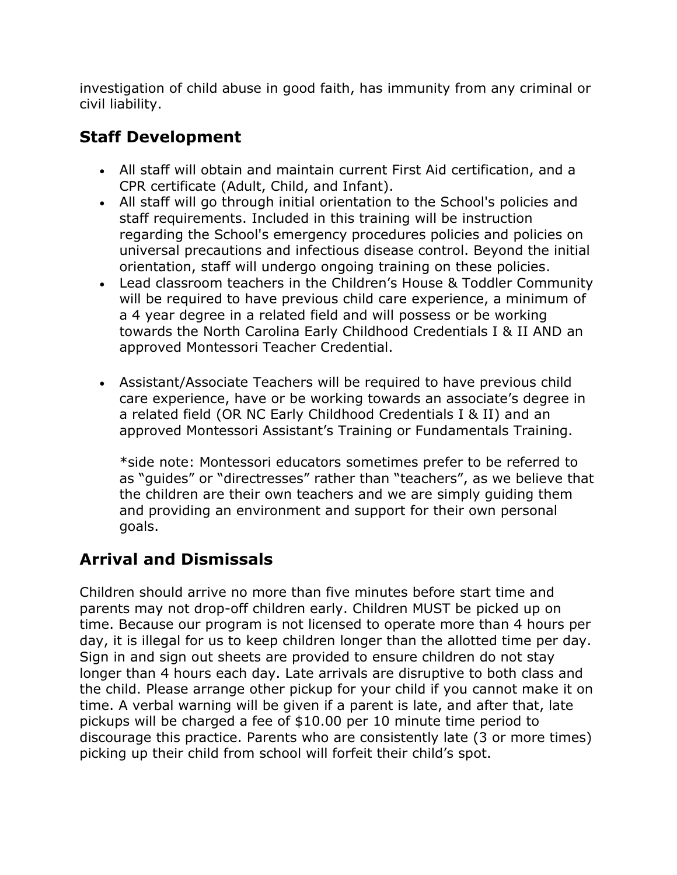investigation of child abuse in good faith, has immunity from any criminal or civil liability.

## **Staff Development**

- All staff will obtain and maintain current First Aid certification, and a CPR certificate (Adult, Child, and Infant).
- All staff will go through initial orientation to the School's policies and staff requirements. Included in this training will be instruction regarding the School's emergency procedures policies and policies on universal precautions and infectious disease control. Beyond the initial orientation, staff will undergo ongoing training on these policies.
- Lead classroom teachers in the Children's House & Toddler Community will be required to have previous child care experience, a minimum of a 4 year degree in a related field and will possess or be working towards the North Carolina Early Childhood Credentials I & II AND an approved Montessori Teacher Credential.
- Assistant/Associate Teachers will be required to have previous child care experience, have or be working towards an associate's degree in a related field (OR NC Early Childhood Credentials I & II) and an approved Montessori Assistant's Training or Fundamentals Training.

\*side note: Montessori educators sometimes prefer to be referred to as "guides" or "directresses" rather than "teachers", as we believe that the children are their own teachers and we are simply guiding them and providing an environment and support for their own personal goals.

# **Arrival and Dismissals**

Children should arrive no more than five minutes before start time and parents may not drop-off children early. Children MUST be picked up on time. Because our program is not licensed to operate more than 4 hours per day, it is illegal for us to keep children longer than the allotted time per day. Sign in and sign out sheets are provided to ensure children do not stay longer than 4 hours each day. Late arrivals are disruptive to both class and the child. Please arrange other pickup for your child if you cannot make it on time. A verbal warning will be given if a parent is late, and after that, late pickups will be charged a fee of \$10.00 per 10 minute time period to discourage this practice. Parents who are consistently late (3 or more times) picking up their child from school will forfeit their child's spot.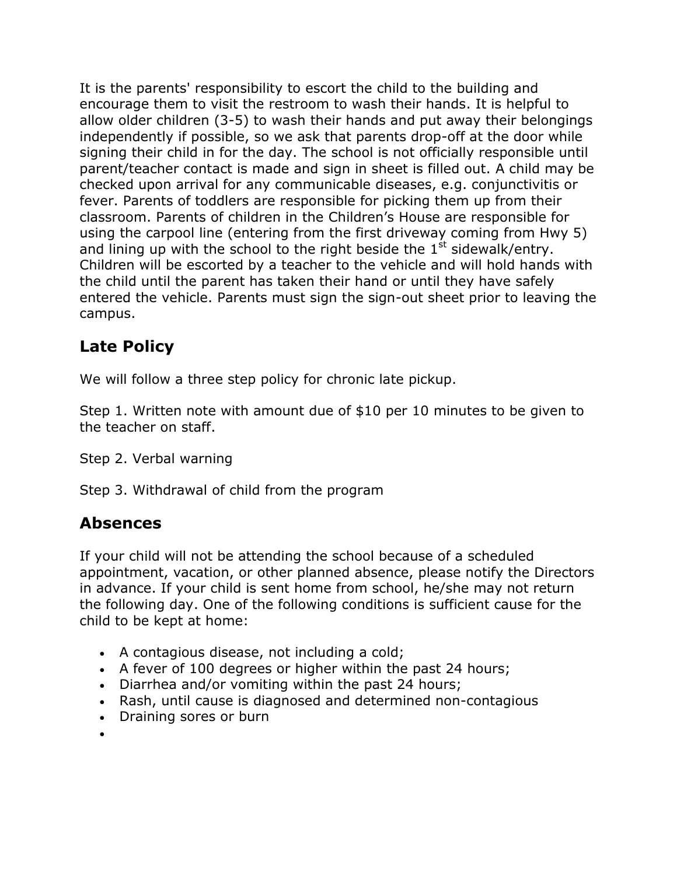It is the parents' responsibility to escort the child to the building and encourage them to visit the restroom to wash their hands. It is helpful to allow older children (3-5) to wash their hands and put away their belongings independently if possible, so we ask that parents drop-off at the door while signing their child in for the day. The school is not officially responsible until parent/teacher contact is made and sign in sheet is filled out. A child may be checked upon arrival for any communicable diseases, e.g. conjunctivitis or fever. Parents of toddlers are responsible for picking them up from their classroom. Parents of children in the Children's House are responsible for using the carpool line (entering from the first driveway coming from Hwy 5) and lining up with the school to the right beside the  $1<sup>st</sup>$  sidewalk/entry. Children will be escorted by a teacher to the vehicle and will hold hands with the child until the parent has taken their hand or until they have safely entered the vehicle. Parents must sign the sign-out sheet prior to leaving the campus.

## **Late Policy**

We will follow a three step policy for chronic late pickup.

Step 1. Written note with amount due of \$10 per 10 minutes to be given to the teacher on staff.

Step 2. Verbal warning

Step 3. Withdrawal of child from the program

## **Absences**

If your child will not be attending the school because of a scheduled appointment, vacation, or other planned absence, please notify the Directors in advance. If your child is sent home from school, he/she may not return the following day. One of the following conditions is sufficient cause for the child to be kept at home:

- A contagious disease, not including a cold;
- A fever of 100 degrees or higher within the past 24 hours;
- Diarrhea and/or vomiting within the past 24 hours;
- Rash, until cause is diagnosed and determined non-contagious
- Draining sores or burn
- $\bullet$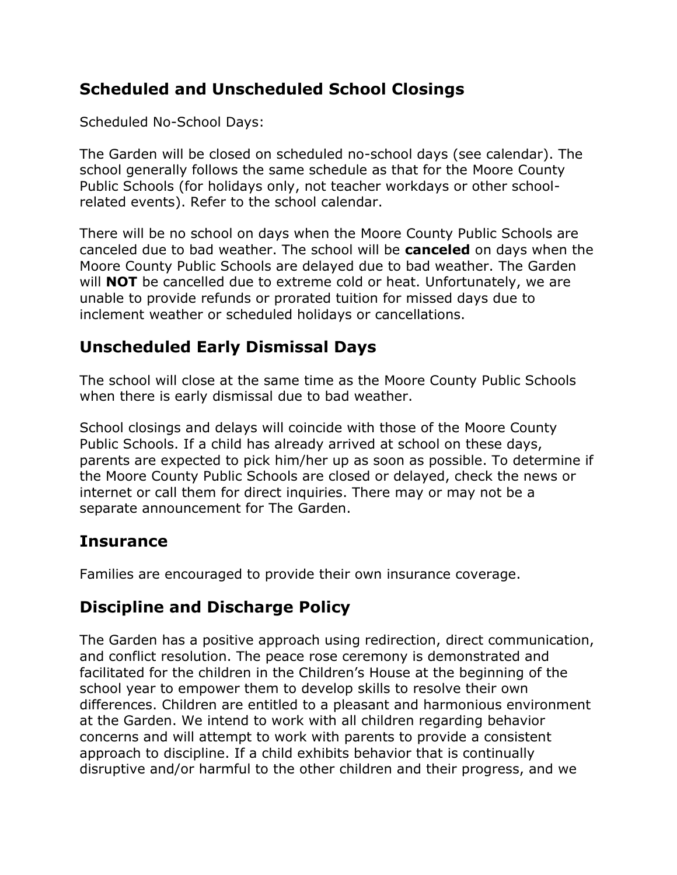## **Scheduled and Unscheduled School Closings**

Scheduled No-School Days:

The Garden will be closed on scheduled no-school days (see calendar). The school generally follows the same schedule as that for the Moore County Public Schools (for holidays only, not teacher workdays or other schoolrelated events). Refer to the school calendar.

There will be no school on days when the Moore County Public Schools are canceled due to bad weather. The school will be **canceled** on days when the Moore County Public Schools are delayed due to bad weather. The Garden will **NOT** be cancelled due to extreme cold or heat. Unfortunately, we are unable to provide refunds or prorated tuition for missed days due to inclement weather or scheduled holidays or cancellations.

## **Unscheduled Early Dismissal Days**

The school will close at the same time as the Moore County Public Schools when there is early dismissal due to bad weather.

School closings and delays will coincide with those of the Moore County Public Schools. If a child has already arrived at school on these days, parents are expected to pick him/her up as soon as possible. To determine if the Moore County Public Schools are closed or delayed, check the news or internet or call them for direct inquiries. There may or may not be a separate announcement for The Garden.

## **Insurance**

Families are encouraged to provide their own insurance coverage.

## **Discipline and Discharge Policy**

The Garden has a positive approach using redirection, direct communication, and conflict resolution. The peace rose ceremony is demonstrated and facilitated for the children in the Children's House at the beginning of the school year to empower them to develop skills to resolve their own differences. Children are entitled to a pleasant and harmonious environment at the Garden. We intend to work with all children regarding behavior concerns and will attempt to work with parents to provide a consistent approach to discipline. If a child exhibits behavior that is continually disruptive and/or harmful to the other children and their progress, and we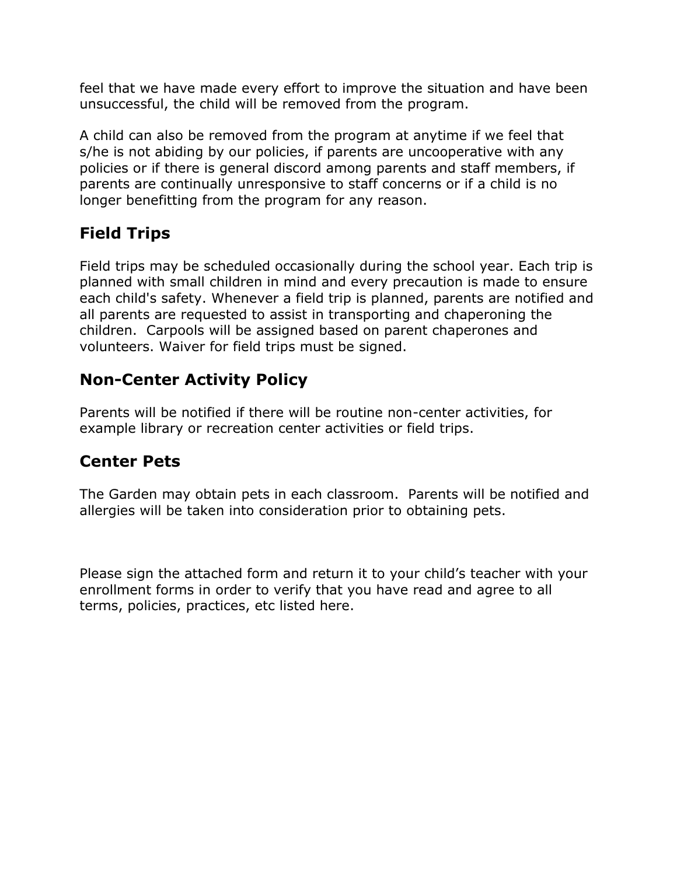feel that we have made every effort to improve the situation and have been unsuccessful, the child will be removed from the program.

A child can also be removed from the program at anytime if we feel that s/he is not abiding by our policies, if parents are uncooperative with any policies or if there is general discord among parents and staff members, if parents are continually unresponsive to staff concerns or if a child is no longer benefitting from the program for any reason.

## **Field Trips**

Field trips may be scheduled occasionally during the school year. Each trip is planned with small children in mind and every precaution is made to ensure each child's safety. Whenever a field trip is planned, parents are notified and all parents are requested to assist in transporting and chaperoning the children. Carpools will be assigned based on parent chaperones and volunteers. Waiver for field trips must be signed.

## **Non-Center Activity Policy**

Parents will be notified if there will be routine non-center activities, for example library or recreation center activities or field trips.

#### **Center Pets**

The Garden may obtain pets in each classroom. Parents will be notified and allergies will be taken into consideration prior to obtaining pets.

Please sign the attached form and return it to your child's teacher with your enrollment forms in order to verify that you have read and agree to all terms, policies, practices, etc listed here.